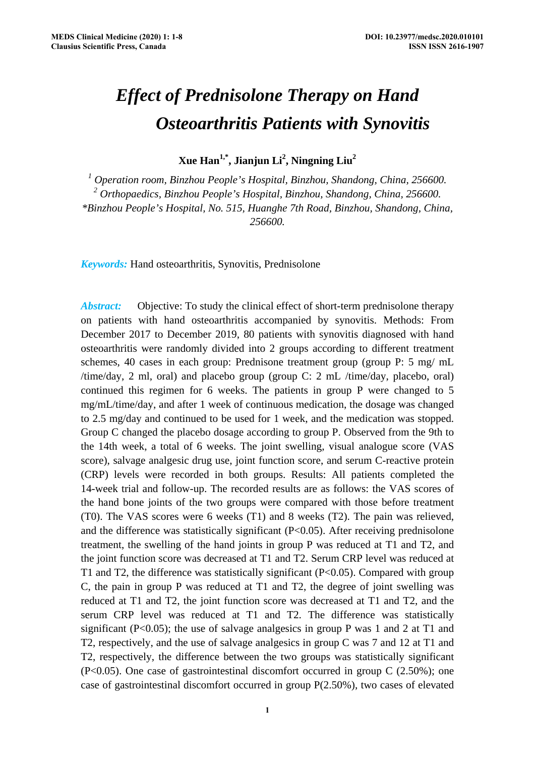# *Effect of Prednisolone Therapy on Hand Osteoarthritis Patients with Synovitis*

**Xue Han1,\*, Jianjun Li2 , Ningning Liu2**

<sup>1</sup> Operation room, Binzhou People's Hospital, Binzhou, Shandong, China, 256600. *2 Orthopaedics, Binzhou People's Hospital, Binzhou, Shandong, China, 256600. \*Binzhou People's Hospital, No. 515, Huanghe 7th Road, Binzhou, Shandong, China, 256600.* 

*Keywords:* Hand osteoarthritis, Synovitis, Prednisolone

*Abstract:* Objective: To study the clinical effect of short-term prednisolone therapy on patients with hand osteoarthritis accompanied by synovitis. Methods: From December 2017 to December 2019, 80 patients with synovitis diagnosed with hand osteoarthritis were randomly divided into 2 groups according to different treatment schemes, 40 cases in each group: Prednisone treatment group (group P: 5 mg/ mL /time/day, 2 ml, oral) and placebo group (group C: 2 mL /time/day, placebo, oral) continued this regimen for 6 weeks. The patients in group P were changed to 5 mg/mL/time/day, and after 1 week of continuous medication, the dosage was changed to 2.5 mg/day and continued to be used for 1 week, and the medication was stopped. Group C changed the placebo dosage according to group P. Observed from the 9th to the 14th week, a total of 6 weeks. The joint swelling, visual analogue score (VAS score), salvage analgesic drug use, joint function score, and serum C-reactive protein (CRP) levels were recorded in both groups. Results: All patients completed the 14-week trial and follow-up. The recorded results are as follows: the VAS scores of the hand bone joints of the two groups were compared with those before treatment (T0). The VAS scores were 6 weeks (T1) and 8 weeks (T2). The pain was relieved, and the difference was statistically significant (P<0.05). After receiving prednisolone treatment, the swelling of the hand joints in group P was reduced at T1 and T2, and the joint function score was decreased at T1 and T2. Serum CRP level was reduced at T1 and T2, the difference was statistically significant (P<0.05). Compared with group C, the pain in group P was reduced at T1 and T2, the degree of joint swelling was reduced at T1 and T2, the joint function score was decreased at T1 and T2, and the serum CRP level was reduced at T1 and T2. The difference was statistically significant (P<0.05); the use of salvage analgesics in group P was 1 and 2 at T1 and T2, respectively, and the use of salvage analgesics in group C was 7 and 12 at T1 and T2, respectively, the difference between the two groups was statistically significant  $(P<0.05)$ . One case of gastrointestinal discomfort occurred in group C (2.50%); one case of gastrointestinal discomfort occurred in group P(2.50%), two cases of elevated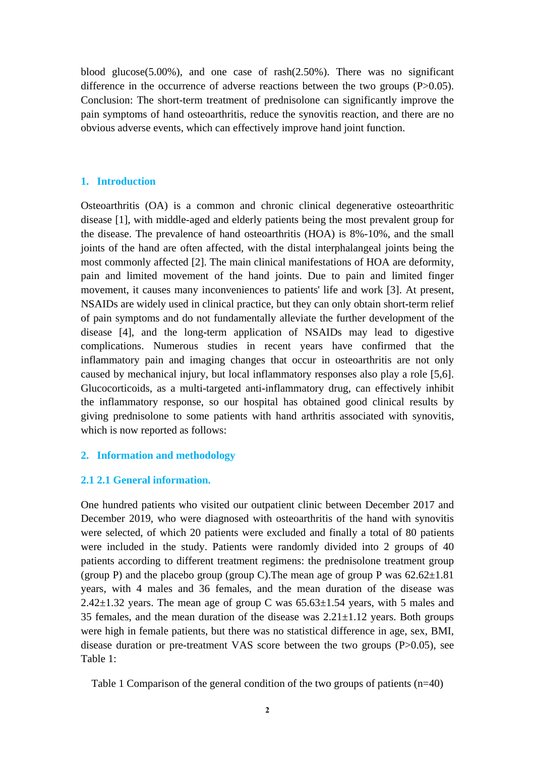blood glucose(5.00%), and one case of rash(2.50%). There was no significant difference in the occurrence of adverse reactions between the two groups (P>0.05). Conclusion: The short-term treatment of prednisolone can significantly improve the pain symptoms of hand osteoarthritis, reduce the synovitis reaction, and there are no obvious adverse events, which can effectively improve hand joint function.

## **1. Introduction**

Osteoarthritis (OA) is a common and chronic clinical degenerative osteoarthritic disease [1], with middle-aged and elderly patients being the most prevalent group for the disease. The prevalence of hand osteoarthritis (HOA) is 8%-10%, and the small joints of the hand are often affected, with the distal interphalangeal joints being the most commonly affected [2]. The main clinical manifestations of HOA are deformity, pain and limited movement of the hand joints. Due to pain and limited finger movement, it causes many inconveniences to patients' life and work [3]. At present, NSAIDs are widely used in clinical practice, but they can only obtain short-term relief of pain symptoms and do not fundamentally alleviate the further development of the disease [4], and the long-term application of NSAIDs may lead to digestive complications. Numerous studies in recent years have confirmed that the inflammatory pain and imaging changes that occur in osteoarthritis are not only caused by mechanical injury, but local inflammatory responses also play a role [5,6]. Glucocorticoids, as a multi-targeted anti-inflammatory drug, can effectively inhibit the inflammatory response, so our hospital has obtained good clinical results by giving prednisolone to some patients with hand arthritis associated with synovitis, which is now reported as follows:

## **2. Information and methodology**

## **2.1 2.1 General information.**

One hundred patients who visited our outpatient clinic between December 2017 and December 2019, who were diagnosed with osteoarthritis of the hand with synovitis were selected, of which 20 patients were excluded and finally a total of 80 patients were included in the study. Patients were randomly divided into 2 groups of 40 patients according to different treatment regimens: the prednisolone treatment group (group P) and the placebo group (group C). The mean age of group P was  $62.62 \pm 1.81$ years, with 4 males and 36 females, and the mean duration of the disease was 2.42 $\pm$ 1.32 years. The mean age of group C was 65.63 $\pm$ 1.54 years, with 5 males and 35 females, and the mean duration of the disease was  $2.21 \pm 1.12$  years. Both groups were high in female patients, but there was no statistical difference in age, sex, BMI, disease duration or pre-treatment VAS score between the two groups (P>0.05), see Table 1:

Table 1 Comparison of the general condition of the two groups of patients (n=40)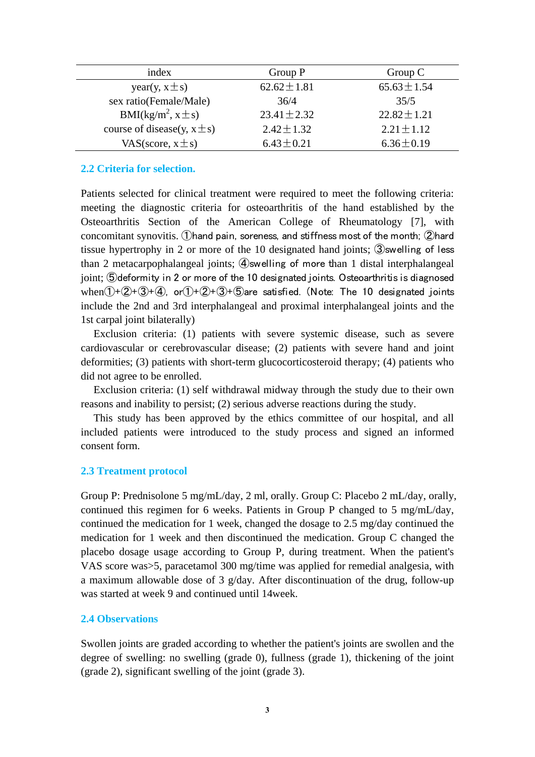| index                              | Group P          | Group $C$        |
|------------------------------------|------------------|------------------|
| year(y, $x \pm s$ )                | $62.62 \pm 1.81$ | $65.63 \pm 1.54$ |
| sex ratio(Female/Male)             | 36/4             | 35/5             |
| BMI(kg/m <sup>2</sup> , x $\pm$ s) | $23.41 \pm 2.32$ | $22.82 \pm 1.21$ |
| course of disease(y, $x \pm s$ )   | $2.42 \pm 1.32$  | $2.21 \pm 1.12$  |
| VAS(score, $x \pm s$ )             | $6.43 \pm 0.21$  | $6.36 \pm 0.19$  |

### **2.2 Criteria for selection.**

Patients selected for clinical treatment were required to meet the following criteria: meeting the diagnostic criteria for osteoarthritis of the hand established by the Osteoarthritis Section of the American College of Rheumatology [7], with concomitant synovitis. ①hand pain, soreness, and stiffness most of the month; ②hard tissue hypertrophy in 2 or more of the 10 designated hand joints; ③swelling of less than 2 metacarpophalangeal joints; ④swelling of more than 1 distal interphalangeal joint; **S** deformity in 2 or more of the 10 designated joints. Osteoarthritis is diagnosed when $(1)+(2)+(3)+(4)$ , or $(1)+(2)+(3)+(5)$ are satisfied. (Note: The 10 designated joints include the 2nd and 3rd interphalangeal and proximal interphalangeal joints and the 1st carpal joint bilaterally)

Exclusion criteria: (1) patients with severe systemic disease, such as severe cardiovascular or cerebrovascular disease; (2) patients with severe hand and joint deformities; (3) patients with short-term glucocorticosteroid therapy; (4) patients who did not agree to be enrolled.

Exclusion criteria: (1) self withdrawal midway through the study due to their own reasons and inability to persist; (2) serious adverse reactions during the study.

This study has been approved by the ethics committee of our hospital, and all included patients were introduced to the study process and signed an informed consent form.

## **2.3 Treatment protocol**

Group P: Prednisolone 5 mg/mL/day, 2 ml, orally. Group C: Placebo 2 mL/day, orally, continued this regimen for 6 weeks. Patients in Group P changed to 5 mg/mL/day, continued the medication for 1 week, changed the dosage to 2.5 mg/day continued the medication for 1 week and then discontinued the medication. Group C changed the placebo dosage usage according to Group P, during treatment. When the patient's VAS score was>5, paracetamol 300 mg/time was applied for remedial analgesia, with a maximum allowable dose of 3  $g$ /day. After discontinuation of the drug, follow-up was started at week 9 and continued until 14week.

### **2.4 Observations**

Swollen joints are graded according to whether the patient's joints are swollen and the degree of swelling: no swelling (grade 0), fullness (grade 1), thickening of the joint (grade 2), significant swelling of the joint (grade 3).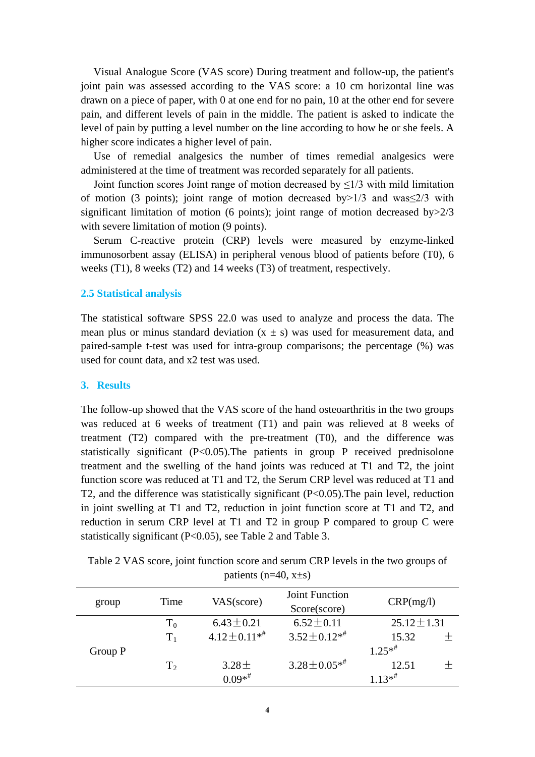Visual Analogue Score (VAS score) During treatment and follow-up, the patient's joint pain was assessed according to the VAS score: a 10 cm horizontal line was drawn on a piece of paper, with 0 at one end for no pain, 10 at the other end for severe pain, and different levels of pain in the middle. The patient is asked to indicate the level of pain by putting a level number on the line according to how he or she feels. A higher score indicates a higher level of pain.

Use of remedial analgesics the number of times remedial analgesics were administered at the time of treatment was recorded separately for all patients.

Joint function scores Joint range of motion decreased by  $\leq 1/3$  with mild limitation of motion (3 points); joint range of motion decreased by  $>1/3$  and was  $\leq 2/3$  with significant limitation of motion (6 points); joint range of motion decreased by > 2/3 with severe limitation of motion (9 points).

Serum C-reactive protein (CRP) levels were measured by enzyme-linked immunosorbent assay (ELISA) in peripheral venous blood of patients before (T0), 6 weeks (T1), 8 weeks (T2) and 14 weeks (T3) of treatment, respectively.

## **2.5 Statistical analysis**

The statistical software SPSS 22.0 was used to analyze and process the data. The mean plus or minus standard deviation  $(x \pm s)$  was used for measurement data, and paired-sample t-test was used for intra-group comparisons; the percentage (%) was used for count data, and x2 test was used.

### **3. Results**

The follow-up showed that the VAS score of the hand osteoarthritis in the two groups was reduced at 6 weeks of treatment (T1) and pain was relieved at 8 weeks of treatment (T2) compared with the pre-treatment (T0), and the difference was statistically significant  $(P<0.05)$ . The patients in group P received prednisolone treatment and the swelling of the hand joints was reduced at T1 and T2, the joint function score was reduced at T1 and T2, the Serum CRP level was reduced at T1 and T2, and the difference was statistically significant (P<0.05).The pain level, reduction in joint swelling at T1 and T2, reduction in joint function score at T1 and T2, and reduction in serum CRP level at T1 and T2 in group P compared to group C were statistically significant (P<0.05), see Table 2 and Table 3.

Table 2 VAS score, joint function score and serum CRP levels in the two groups of patients ( $n=40$ ,  $x\pm s$ )

| group   | Time           | VAS(score)        | Joint Function<br>Score(score) | CRP(mg/l)            |  |
|---------|----------------|-------------------|--------------------------------|----------------------|--|
|         | $T_0$          | $6.43 \pm 0.21$   | $6.52 \pm 0.11$                | $25.12 \pm 1.31$     |  |
|         | $T_1$          | $4.12 \pm 0.11**$ | $3.52 \pm 0.12^{*}$            | 15.32                |  |
| Group P |                |                   |                                | $1.25**$             |  |
|         | T <sub>2</sub> | $3.28 \pm$        | $3.28 \pm 0.05**$              | 12.51                |  |
|         |                | $0.09**$          |                                | $1.13*$ <sup>#</sup> |  |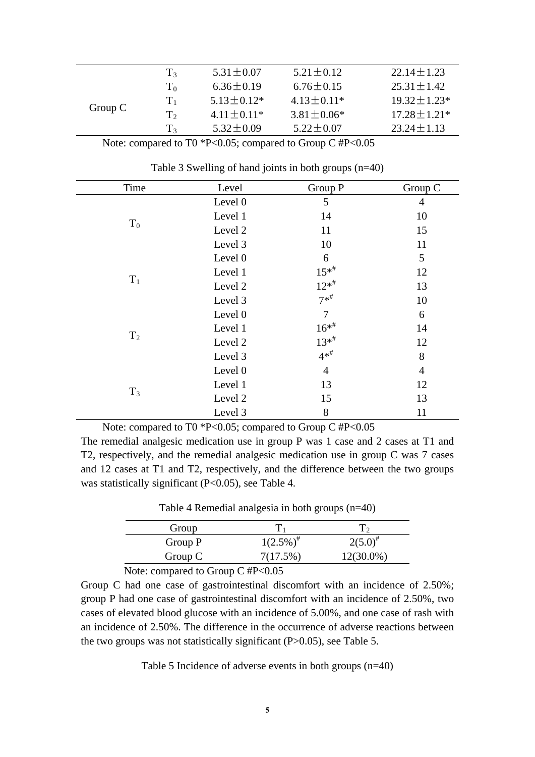|           | $T_{3}$        | $5.31 \pm 0.07$   | $5.21 \pm 0.12$  | $22.14 + 1.23$     |
|-----------|----------------|-------------------|------------------|--------------------|
|           | $T_0$          | $6.36 \pm 0.19$   | $6.76 \pm 0.15$  | $25.31 + 1.42$     |
|           | $T_{1}$        | $5.13 \pm 0.12^*$ | $4.13 \pm 0.11*$ | $19.32 \pm 1.23$ * |
| Group $C$ | T <sub>2</sub> | $4.11 \pm 0.11*$  | $3.81 \pm 0.06*$ | $17.28 \pm 1.21*$  |
|           | $T_{3}$        | $5.32 + 0.09$     | $5.22 \pm 0.07$  | $23.24 + 1.13$     |

| Note: compared to T0 $^*P<0.05$ ; compared to Group C #P<0.05 |  |  |
|---------------------------------------------------------------|--|--|
|                                                               |  |  |

| Time           | Level   | Group P           | Group C        |
|----------------|---------|-------------------|----------------|
|                | Level 0 | 5                 | $\overline{4}$ |
|                | Level 1 | 14                | 10             |
| $T_0$          | Level 2 | 11                | 15             |
|                | Level 3 | 10                | 11             |
|                | Level 0 | 6                 | 5              |
|                | Level 1 | $15^{*}$          | 12             |
| $T_1$          | Level 2 | $12^{*^{\#}}$     | 13             |
|                | Level 3 | $7*$ <sup>#</sup> | 10             |
|                | Level 0 | 7                 | 6              |
|                | Level 1 | $16^{*}$          | 14             |
| T <sub>2</sub> | Level 2 | $13^{*}$          | 12             |
|                | Level 3 | $4*$ <sup>#</sup> | 8              |
|                | Level 0 | $\overline{4}$    | $\overline{4}$ |
|                | Level 1 | 13                | 12             |
| $T_3$          | Level 2 | 15                | 13             |
|                | Level 3 | 8                 | 11             |

Table 3 Swelling of hand joints in both groups (n=40)

Note: compared to T0 \*P<0.05; compared to Group C #P<0.05

The remedial analgesic medication use in group P was 1 case and 2 cases at T1 and T2, respectively, and the remedial analgesic medication use in group C was 7 cases and 12 cases at T1 and T2, respectively, and the difference between the two groups was statistically significant (P<0.05), see Table 4.

| Table 4 Remedial analgesia in both groups $(n=40)$ |  |  |
|----------------------------------------------------|--|--|
|                                                    |  |  |

| Group         |                             |               |
|---------------|-----------------------------|---------------|
| Group P       | $1(2.5\%)^{\#}$             | $2(5.0)^{\#}$ |
| Group $C$     | 7(17.5%)                    | $12(30.0\%)$  |
| $\sim$ $\sim$ | $\sim$ $\sim$ $\sim$ $\sim$ |               |

Note: compared to Group C #P<0.05

Group C had one case of gastrointestinal discomfort with an incidence of 2.50%; group P had one case of gastrointestinal discomfort with an incidence of 2.50%, two cases of elevated blood glucose with an incidence of 5.00%, and one case of rash with an incidence of 2.50%. The difference in the occurrence of adverse reactions between the two groups was not statistically significant (P>0.05), see Table 5.

Table 5 Incidence of adverse events in both groups (n=40)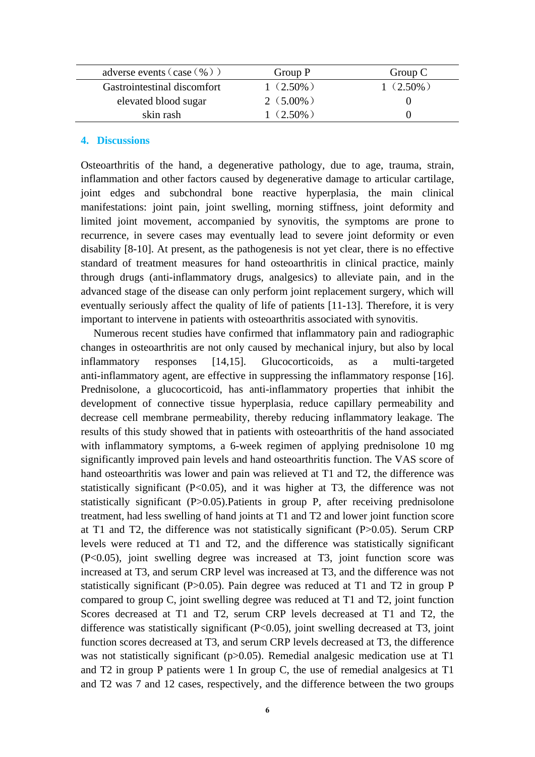| adverse events $(\case (%) )$ | Group P     | Group C     |
|-------------------------------|-------------|-------------|
| Gastrointestinal discomfort   | $1(2.50\%)$ | $1(2.50\%)$ |
| elevated blood sugar          | $2(5.00\%)$ |             |
| skin rash                     | $1(2.50\%)$ |             |

#### **4. Discussions**

Osteoarthritis of the hand, a degenerative pathology, due to age, trauma, strain, inflammation and other factors caused by degenerative damage to articular cartilage, joint edges and subchondral bone reactive hyperplasia, the main clinical manifestations: joint pain, joint swelling, morning stiffness, joint deformity and limited joint movement, accompanied by synovitis, the symptoms are prone to recurrence, in severe cases may eventually lead to severe joint deformity or even disability [8-10]. At present, as the pathogenesis is not yet clear, there is no effective standard of treatment measures for hand osteoarthritis in clinical practice, mainly through drugs (anti-inflammatory drugs, analgesics) to alleviate pain, and in the advanced stage of the disease can only perform joint replacement surgery, which will eventually seriously affect the quality of life of patients [11-13]. Therefore, it is very important to intervene in patients with osteoarthritis associated with synovitis.

Numerous recent studies have confirmed that inflammatory pain and radiographic changes in osteoarthritis are not only caused by mechanical injury, but also by local inflammatory responses [14,15]. Glucocorticoids, as a multi-targeted anti-inflammatory agent, are effective in suppressing the inflammatory response [16]. Prednisolone, a glucocorticoid, has anti-inflammatory properties that inhibit the development of connective tissue hyperplasia, reduce capillary permeability and decrease cell membrane permeability, thereby reducing inflammatory leakage. The results of this study showed that in patients with osteoarthritis of the hand associated with inflammatory symptoms, a 6-week regimen of applying prednisolone 10 mg significantly improved pain levels and hand osteoarthritis function. The VAS score of hand osteoarthritis was lower and pain was relieved at T1 and T2, the difference was statistically significant  $(P<0.05)$ , and it was higher at T3, the difference was not statistically significant (P>0.05). Patients in group P, after receiving prednisolone treatment, had less swelling of hand joints at T1 and T2 and lower joint function score at T1 and T2, the difference was not statistically significant (P>0.05). Serum CRP levels were reduced at T1 and T2, and the difference was statistically significant (P<0.05), joint swelling degree was increased at T3, joint function score was increased at T3, and serum CRP level was increased at T3, and the difference was not statistically significant (P>0.05). Pain degree was reduced at T1 and T2 in group P compared to group C, joint swelling degree was reduced at T1 and T2, joint function Scores decreased at T1 and T2, serum CRP levels decreased at T1 and T2, the difference was statistically significant (P<0.05), joint swelling decreased at T3, joint function scores decreased at T3, and serum CRP levels decreased at T3, the difference was not statistically significant (p $>0.05$ ). Remedial analgesic medication use at T1 and T2 in group P patients were 1 In group C, the use of remedial analgesics at T1 and T2 was 7 and 12 cases, respectively, and the difference between the two groups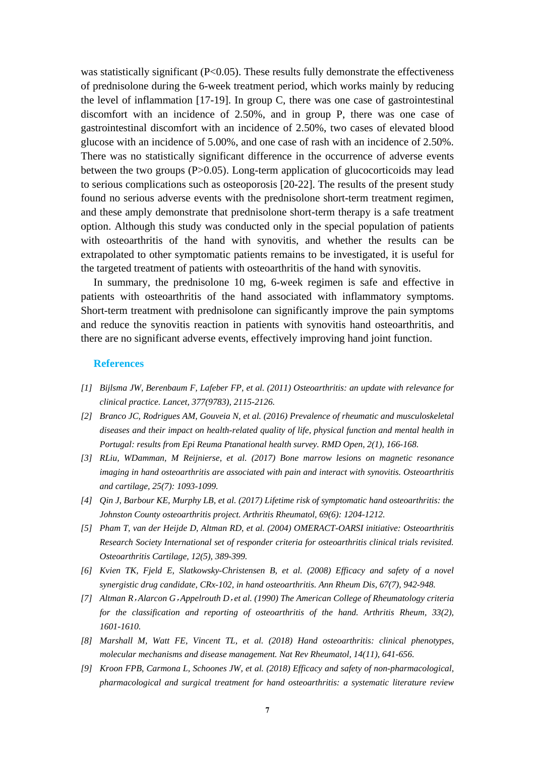was statistically significant (P<0.05). These results fully demonstrate the effectiveness of prednisolone during the 6-week treatment period, which works mainly by reducing the level of inflammation [17-19]. In group C, there was one case of gastrointestinal discomfort with an incidence of 2.50%, and in group P, there was one case of gastrointestinal discomfort with an incidence of 2.50%, two cases of elevated blood glucose with an incidence of 5.00%, and one case of rash with an incidence of 2.50%. There was no statistically significant difference in the occurrence of adverse events between the two groups (P>0.05). Long-term application of glucocorticoids may lead to serious complications such as osteoporosis [20-22]. The results of the present study found no serious adverse events with the prednisolone short-term treatment regimen, and these amply demonstrate that prednisolone short-term therapy is a safe treatment option. Although this study was conducted only in the special population of patients with osteoarthritis of the hand with synovitis, and whether the results can be extrapolated to other symptomatic patients remains to be investigated, it is useful for the targeted treatment of patients with osteoarthritis of the hand with synovitis.

In summary, the prednisolone 10 mg, 6-week regimen is safe and effective in patients with osteoarthritis of the hand associated with inflammatory symptoms. Short-term treatment with prednisolone can significantly improve the pain symptoms and reduce the synovitis reaction in patients with synovitis hand osteoarthritis, and there are no significant adverse events, effectively improving hand joint function.

#### **References**

- *[1] Bijlsma JW, Berenbaum F, Lafeber FP, et al. (2011) Osteoarthritis: an update with relevance for clinical practice. Lancet, 377(9783), 2115-2126.*
- *[2] Branco JC, Rodrigues AM, Gouveia N, et al. (2016) Prevalence of rheumatic and musculoskeletal diseases and their impact on health-related quality of life, physical function and mental health in Portugal: results from Epi Reuma Ptanational health survey. RMD Open, 2(1), 166-168.*
- *[3] RLiu, WDamman, M Reijnierse, et al. (2017) Bone marrow lesions on magnetic resonance imaging in hand osteoarthritis are associated with pain and interact with synovitis. Osteoarthritis and cartilage, 25(7): 1093-1099.*
- *[4] Qin J, Barbour KE, Murphy LB, et al. (2017) Lifetime risk of symptomatic hand osteoarthritis: the Johnston County osteoarthritis project. Arthritis Rheumatol, 69(6): 1204-1212.*
- *[5] Pham T, van der Heijde D, Altman RD, et al. (2004) OMERACT-OARSI initiative: Osteoarthritis Research Society International set of responder criteria for osteoarthritis clinical trials revisited. Osteoarthritis Cartilage, 12(5), 389-399.*
- *[6] Kvien TK, Fjeld E, Slatkowsky-Christensen B, et al. (2008) Efficacy and safety of a novel synergistic drug candidate, CRx-102, in hand osteoarthritis. Ann Rheum Dis, 67(7), 942-948.*
- *[7] Altman R*,*Alarcon G*,*Appelrouth D*,*et al. (1990) The American College of Rheumatology criteria for the classification and reporting of osteoarthritis of the hand. Arthritis Rheum, 33(2), 1601-1610.*
- *[8] Marshall M, Watt FE, Vincent TL, et al. (2018) Hand osteoarthritis: clinical phenotypes, molecular mechanisms and disease management. Nat Rev Rheumatol, 14(11), 641-656.*
- *[9] Kroon FPB, Carmona L, Schoones JW, et al. (2018) Efficacy and safety of non-pharmacological, pharmacological and surgical treatment for hand osteoarthritis: a systematic literature review*